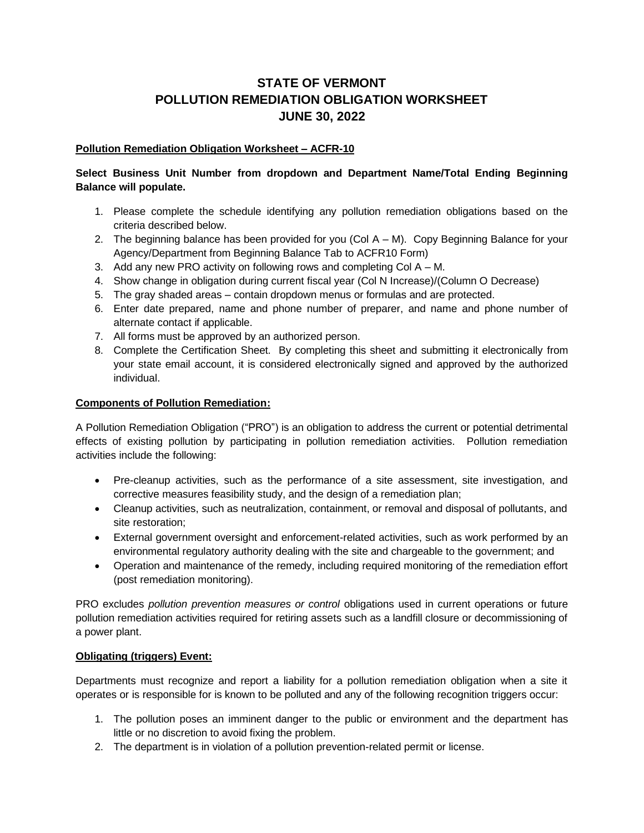# **STATE OF VERMONT POLLUTION REMEDIATION OBLIGATION WORKSHEET JUNE 30, 2022**

## **Pollution Remediation Obligation Worksheet – ACFR-10**

## **Select Business Unit Number from dropdown and Department Name/Total Ending Beginning Balance will populate.**

- 1. Please complete the schedule identifying any pollution remediation obligations based on the criteria described below.
- 2. The beginning balance has been provided for you (Col A M). Copy Beginning Balance for your Agency/Department from Beginning Balance Tab to ACFR10 Form)
- 3. Add any new PRO activity on following rows and completing Col A M.
- 4. Show change in obligation during current fiscal year (Col N Increase)/(Column O Decrease)
- 5. The gray shaded areas contain dropdown menus or formulas and are protected.
- 6. Enter date prepared, name and phone number of preparer, and name and phone number of alternate contact if applicable.
- 7. All forms must be approved by an authorized person.
- 8. Complete the Certification Sheet. By completing this sheet and submitting it electronically from your state email account, it is considered electronically signed and approved by the authorized individual.

#### **Components of Pollution Remediation:**

A Pollution Remediation Obligation ("PRO") is an obligation to address the current or potential detrimental effects of existing pollution by participating in pollution remediation activities. Pollution remediation activities include the following:

- Pre-cleanup activities, such as the performance of a site assessment, site investigation, and corrective measures feasibility study, and the design of a remediation plan;
- Cleanup activities, such as neutralization, containment, or removal and disposal of pollutants, and site restoration;
- External government oversight and enforcement-related activities, such as work performed by an environmental regulatory authority dealing with the site and chargeable to the government; and
- Operation and maintenance of the remedy, including required monitoring of the remediation effort (post remediation monitoring).

PRO excludes *pollution prevention measures or control* obligations used in current operations or future pollution remediation activities required for retiring assets such as a landfill closure or decommissioning of a power plant.

## **Obligating (triggers) Event:**

Departments must recognize and report a liability for a pollution remediation obligation when a site it operates or is responsible for is known to be polluted and any of the following recognition triggers occur:

- 1. The pollution poses an imminent danger to the public or environment and the department has little or no discretion to avoid fixing the problem.
- 2. The department is in violation of a pollution prevention-related permit or license.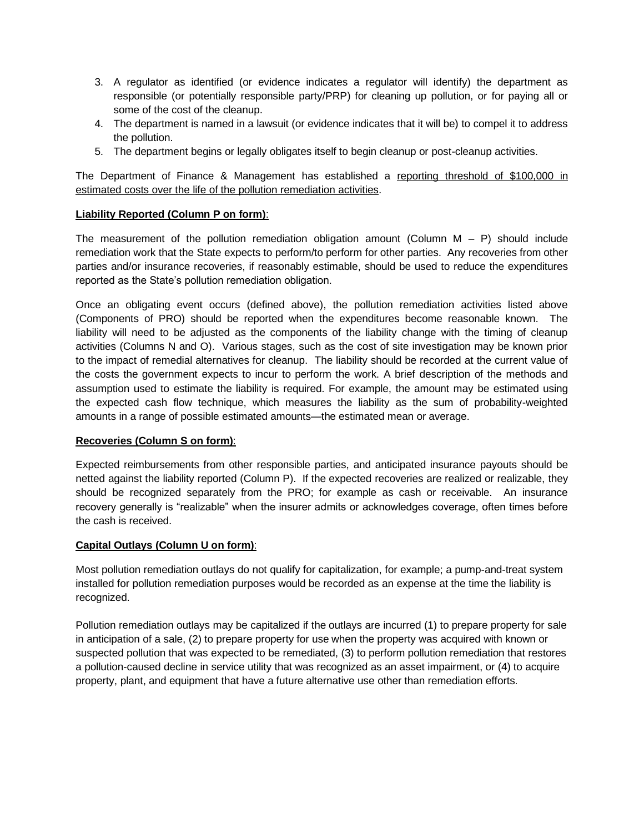- 3. A regulator as identified (or evidence indicates a regulator will identify) the department as responsible (or potentially responsible party/PRP) for cleaning up pollution, or for paying all or some of the cost of the cleanup.
- 4. The department is named in a lawsuit (or evidence indicates that it will be) to compel it to address the pollution.
- 5. The department begins or legally obligates itself to begin cleanup or post-cleanup activities.

The Department of Finance & Management has established a reporting threshold of \$100,000 in estimated costs over the life of the pollution remediation activities.

## **Liability Reported (Column P on form)**:

The measurement of the pollution remediation obligation amount (Column  $M - P$ ) should include remediation work that the State expects to perform/to perform for other parties. Any recoveries from other parties and/or insurance recoveries, if reasonably estimable, should be used to reduce the expenditures reported as the State's pollution remediation obligation.

Once an obligating event occurs (defined above), the pollution remediation activities listed above (Components of PRO) should be reported when the expenditures become reasonable known. The liability will need to be adjusted as the components of the liability change with the timing of cleanup activities (Columns N and O). Various stages, such as the cost of site investigation may be known prior to the impact of remedial alternatives for cleanup. The liability should be recorded at the current value of the costs the government expects to incur to perform the work. A brief description of the methods and assumption used to estimate the liability is required. For example, the amount may be estimated using the expected cash flow technique, which measures the liability as the sum of probability-weighted amounts in a range of possible estimated amounts—the estimated mean or average.

## **Recoveries (Column S on form)**:

Expected reimbursements from other responsible parties, and anticipated insurance payouts should be netted against the liability reported (Column P). If the expected recoveries are realized or realizable, they should be recognized separately from the PRO; for example as cash or receivable. An insurance recovery generally is "realizable" when the insurer admits or acknowledges coverage, often times before the cash is received.

## **Capital Outlays (Column U on form)**:

Most pollution remediation outlays do not qualify for capitalization, for example; a pump-and-treat system installed for pollution remediation purposes would be recorded as an expense at the time the liability is recognized.

Pollution remediation outlays may be capitalized if the outlays are incurred (1) to prepare property for sale in anticipation of a sale, (2) to prepare property for use when the property was acquired with known or suspected pollution that was expected to be remediated, (3) to perform pollution remediation that restores a pollution-caused decline in service utility that was recognized as an asset impairment, or (4) to acquire property, plant, and equipment that have a future alternative use other than remediation efforts.